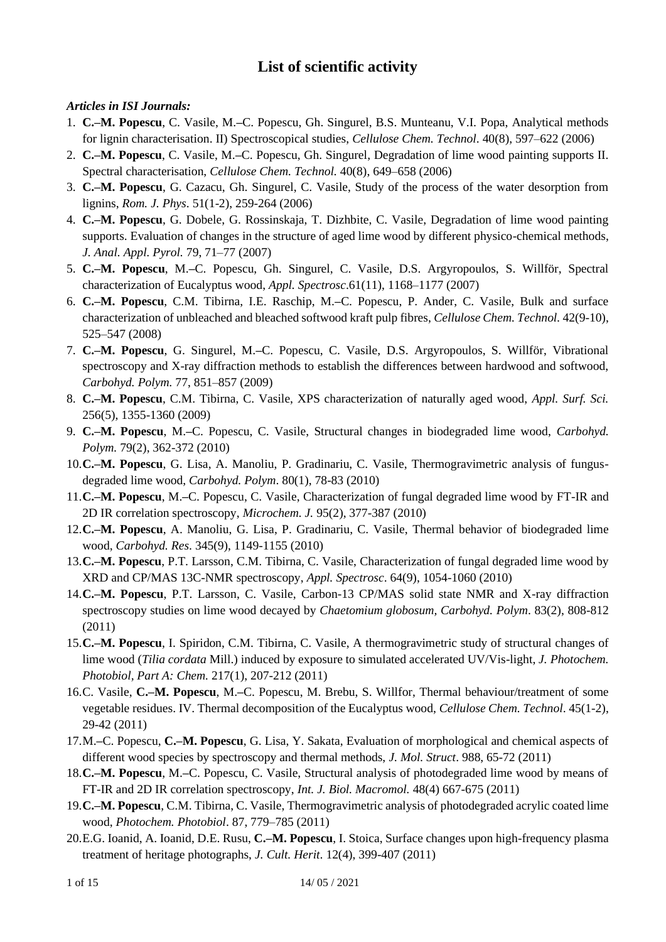# **List of scientific activity**

## *Articles in ISI Journals:*

- 1. **C.–M. Popescu**, C. Vasile, M.**–**C. Popescu, Gh. Singurel, B.S. Munteanu, V.I. Popa, Analytical methods for lignin characterisation. II) Spectroscopical studies, *Cellulose Chem. Technol*. 40(8), 597–622 (2006)
- 2. **C.–M. Popescu**, C. Vasile, M.**–**C. Popescu, Gh. Singurel, Degradation of lime wood painting supports II. Spectral characterisation, *Cellulose Chem. Technol.* 40(8), 649–658 (2006)
- 3. **C.–M. Popescu**, G. Cazacu, Gh. Singurel, C. Vasile, Study of the process of the water desorption from lignins, *Rom. J. Phys*. 51(1-2), 259-264 (2006)
- 4. **C.–M. Popescu**, G. Dobele, G. Rossinskaja, T. Dizhbite, C. Vasile, Degradation of lime wood painting supports. Evaluation of changes in the structure of aged lime wood by different physico-chemical methods, *J. Anal. Appl. Pyrol.* 79, 71–77 (2007)
- 5. **C.–M. Popescu**, M.**–**C. Popescu, Gh. Singurel, C. Vasile, D.S. Argyropoulos, S. Willför, Spectral characterization of Eucalyptus wood, *Appl. Spectrosc*.61(11), 1168–1177 (2007)
- 6. **C.–M. Popescu**, C.M. Tibirna, I.E. Raschip, M.**–**C. Popescu, P. Ander, C. Vasile, Bulk and surface characterization of unbleached and bleached softwood kraft pulp fibres, *Cellulose Chem. Technol.* 42(9-10), 525–547 (2008)
- 7. **C.–M. Popescu**, G. Singurel, M.**–**C. Popescu, C. Vasile, D.S. Argyropoulos, S. Willför, Vibrational spectroscopy and X-ray diffraction methods to establish the differences between hardwood and softwood, *Carbohyd. Polym.* 77, 851–857 (2009)
- 8. **C.–M. Popescu**, C.M. Tibirna, C. Vasile, XPS characterization of naturally aged wood, *Appl. Surf. Sci.*  256(5), 1355-1360 (2009)
- 9. **C.–M. Popescu**, M.**–**C. Popescu, C. Vasile, Structural changes in biodegraded lime wood, *Carbohyd. Polym.* 79(2), 362-372 (2010)
- 10.**C.–M. Popescu**, G. Lisa, A. Manoliu, P. Gradinariu, C. Vasile, Thermogravimetric analysis of fungusdegraded lime wood, *Carbohyd. Polym*. 80(1), 78-83 (2010)
- 11.**C.–M. Popescu**, M.**–**C. Popescu, C. Vasile, Characterization of fungal degraded lime wood by FT-IR and 2D IR correlation spectroscopy, *Microchem. J.* 95(2), 377-387 (2010)
- 12.**C.–M. Popescu**, A. Manoliu, G. Lisa, P. Gradinariu, C. Vasile, Thermal behavior of biodegraded lime wood, *Carbohyd. Res*. 345(9), 1149-1155 (2010)
- 13.**C.–M. Popescu**, P.T. Larsson, C.M. Tibirna, C. Vasile, Characterization of fungal degraded lime wood by XRD and CP/MAS 13C-NMR spectroscopy, *Appl. Spectrosc*. 64(9), 1054-1060 (2010)
- 14.**C.–M. Popescu**, P.T. Larsson, C. Vasile, Carbon-13 CP/MAS solid state NMR and X-ray diffraction spectroscopy studies on lime wood decayed by *Chaetomium globosum, Carbohyd. Polym*. 83(2), 808-812 (2011)
- 15.**C.–M. Popescu**, I. Spiridon, C.M. Tibirna, C. Vasile, A thermogravimetric study of structural changes of lime wood (*Tilia cordata* Mill.) induced by exposure to simulated accelerated UV/Vis-light, *J. Photochem. Photobiol, Part A: Chem.* 217(1), 207-212 (2011)
- 16.C. Vasile, **C.–M. Popescu**, M.**–**C. Popescu, M. Brebu, S. Willfor, Thermal behaviour/treatment of some vegetable residues. IV. Thermal decomposition of the Eucalyptus wood, *Cellulose Chem. Technol*. 45(1-2), 29-42 (2011)
- 17.M.**–**C. Popescu, **C.–M. Popescu**, G. Lisa, Y. Sakata, Evaluation of morphological and chemical aspects of different wood species by spectroscopy and thermal methods, *J. Mol. Struct*. 988, 65-72 (2011)
- 18.**C.–M. Popescu**, M.**–**C. Popescu, C. Vasile, Structural analysis of photodegraded lime wood by means of FT-IR and 2D IR correlation spectroscopy, *Int. J. Biol. Macromol.* 48(4) 667-675 (2011)
- 19.**C.–M. Popescu**, C.M. Tibirna, C. Vasile, Thermogravimetric analysis of photodegraded acrylic coated lime wood, *Photochem. Photobiol*. 87, 779–785 (2011)
- 20.E.G. Ioanid, A. Ioanid, D.E. Rusu, **C.–M. Popescu**, I. Stoica, Surface changes upon high-frequency plasma treatment of heritage photographs, *J. Cult. Herit*. 12(4), 399-407 (2011)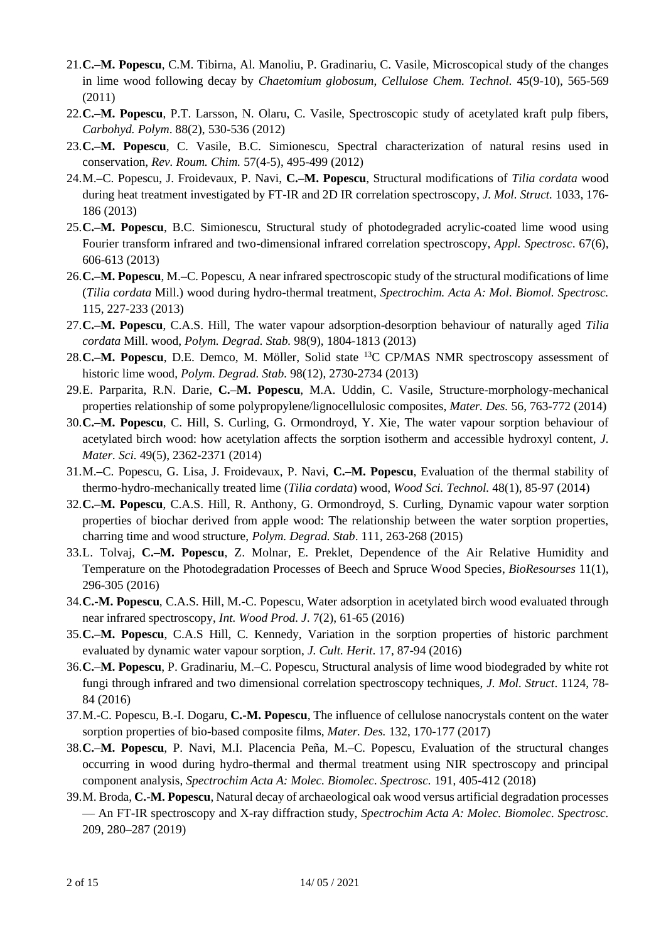- 21.**C.–M. Popescu**, C.M. Tibirna, Al. Manoliu, P. Gradinariu, C. Vasile, Microscopical study of the changes in lime wood following decay by *Chaetomium globosum*, *Cellulose Chem. Technol.* 45(9-10), 565-569 (2011)
- 22.**C.–M. Popescu**, P.T. Larsson, N. Olaru, C. Vasile, Spectroscopic study of acetylated kraft pulp fibers, *Carbohyd. Polym*. 88(2), 530-536 (2012)
- 23.**C.–M. Popescu**, C. Vasile, B.C. Simionescu, Spectral characterization of natural resins used in conservation, *Rev. Roum. Chim.* 57(4-5), 495-499 (2012)
- 24.M.**–**C. Popescu, J. Froidevaux, P. Navi, **C.–M. Popescu**, Structural modifications of *Tilia cordata* wood during heat treatment investigated by FT-IR and 2D IR correlation spectroscopy, *J. Mol. Struct.* 1033, 176- 186 (2013)
- 25.**C.–M. Popescu**, B.C. Simionescu, Structural study of photodegraded acrylic-coated lime wood using Fourier transform infrared and two-dimensional infrared correlation spectroscopy, *Appl. Spectrosc*. 67(6), 606-613 (2013)
- 26.**C.–M. Popescu**, M.**–**C. Popescu, A near infrared spectroscopic study of the structural modifications of lime (*Tilia cordata* Mill.) wood during hydro-thermal treatment, *Spectrochim. Acta A: Mol. Biomol. Spectrosc.*  115, 227-233 (2013)
- 27.**C.–M. Popescu**, C.A.S. Hill, The water vapour adsorption-desorption behaviour of naturally aged *Tilia cordata* Mill. wood, *Polym. Degrad. Stab.* 98(9), 1804-1813 (2013)
- 28.**C.–M. Popescu**, D.E. Demco, M. Möller, Solid state <sup>13</sup>C CP/MAS NMR spectroscopy assessment of historic lime wood, *Polym. Degrad. Stab.* 98(12), 2730-2734 (2013)
- 29.E. Parparita, R.N. Darie, **C.–M. Popescu**, M.A. Uddin, C. Vasile, Structure-morphology-mechanical properties relationship of some polypropylene/lignocellulosic composites, *Mater. Des.* 56, 763-772 (2014)
- 30.**C.–M. Popescu**, C. Hill, S. Curling, G. Ormondroyd, Y. Xie, The water vapour sorption behaviour of acetylated birch wood: how acetylation affects the sorption isotherm and accessible hydroxyl content, *J. Mater. Sci.* 49(5), 2362-2371 (2014)
- 31.M.**–**C. Popescu, G. Lisa, J. Froidevaux, P. Navi, **C.–M. Popescu**, Evaluation of the thermal stability of thermo-hydro-mechanically treated lime (*Tilia cordata*) wood, *Wood Sci. Technol.* 48(1), 85-97 (2014)
- 32.**C.–M. Popescu**, C.A.S. Hill, R. Anthony, G. Ormondroyd, S. Curling, Dynamic vapour water sorption properties of biochar derived from apple wood: The relationship between the water sorption properties, charring time and wood structure, *Polym. Degrad. Stab*. 111, 263-268 (2015)
- 33.L. Tolvaj, **C.–M. Popescu**, Z. Molnar, E. Preklet, Dependence of the Air Relative Humidity and Temperature on the Photodegradation Processes of Beech and Spruce Wood Species, *BioResourses* 11(1), 296-305 (2016)
- 34.**C.-M. Popescu**, C.A.S. Hill, M.-C. Popescu, Water adsorption in acetylated birch wood evaluated through near infrared spectroscopy, *Int. Wood Prod. J*. 7(2), 61-65 (2016)
- 35.**C.–M. Popescu**, C.A.S Hill, C. Kennedy, Variation in the sorption properties of historic parchment evaluated by dynamic water vapour sorption, *J. Cult. Herit*. 17, 87-94 (2016)
- 36.**C.–M. Popescu**, P. Gradinariu, M.**–**C. Popescu, Structural analysis of lime wood biodegraded by white rot fungi through infrared and two dimensional correlation spectroscopy techniques, *J. Mol. Struct*. 1124, 78- 84 (2016)
- 37.M.-C. Popescu, B.-I. Dogaru, **C.-M. Popescu**, The influence of cellulose nanocrystals content on the water sorption properties of bio-based composite films, *Mater. Des.* 132, 170-177 (2017)
- 38.**C.–M. Popescu**, P. Navi, M.I. Placencia Peña, M.**–**C. Popescu, Evaluation of the structural changes occurring in wood during hydro-thermal and thermal treatment using NIR spectroscopy and principal component analysis, *Spectrochim Acta A: Molec. Biomolec. Spectrosc.* 191, 405-412 (2018)
- 39.M. Broda, **C.-M. Popescu**, Natural decay of archaeological oak wood versus artificial degradation processes — An FT-IR spectroscopy and X-ray diffraction study, *Spectrochim Acta A: Molec. Biomolec. Spectrosc.* 209, 280–287 (2019)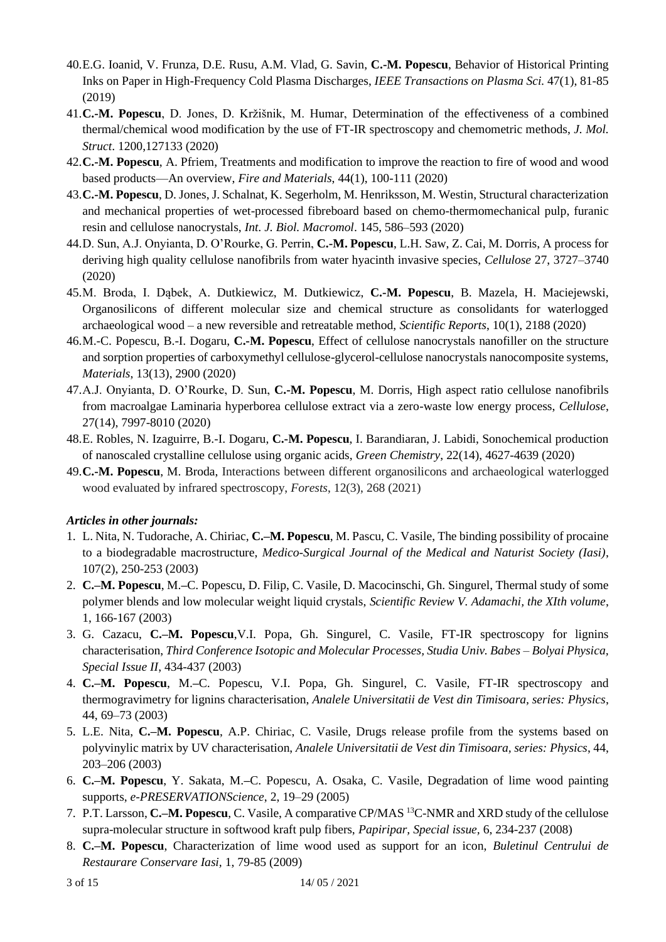- 40.E.G. Ioanid, V. Frunza, D.E. Rusu, A.M. Vlad, G. Savin, **C.-M. Popescu**, Behavior of Historical Printing Inks on Paper in High-Frequency Cold Plasma Discharges, *IEEE Transactions on Plasma Sci.* 47(1), 81-85 (2019)
- 41.**C.-M. Popescu**, D. Jones, D. Kržišnik, M. Humar, Determination of the effectiveness of a combined thermal/chemical wood modification by the use of FT-IR spectroscopy and chemometric methods, *J. Mol. Struct*. 1200,127133 (2020)
- 42.**C.-M. Popescu**, A. Pfriem, Treatments and modification to improve the reaction to fire of wood and wood based products—An overview, *Fire and Materials*, 44(1), 100-111 (2020)
- 43.**C.-M. Popescu**, D. Jones, J. Schalnat, K. Segerholm, M. Henriksson, M. Westin, Structural characterization and mechanical properties of wet-processed fibreboard based on chemo-thermomechanical pulp, furanic resin and cellulose nanocrystals, *Int. J. Biol. Macromol*. 145, 586–593 (2020)
- 44.D. Sun, A.J. Onyianta, D. O'Rourke, G. Perrin, **C.-M. Popescu**, L.H. Saw, Z. Cai, M. Dorris, A process for deriving high quality cellulose nanofibrils from water hyacinth invasive species, *Cellulose* 27, 3727–3740 (2020)
- 45.M. Broda, I. Dąbek, A. Dutkiewicz, M. Dutkiewicz, **C.-M. Popescu**, B. Mazela, H. Maciejewski, Organosilicons of different molecular size and chemical structure as consolidants for waterlogged archaeological wood – a new reversible and retreatable method, *Scientific Reports*, 10(1), 2188 (2020)
- 46.M.-C. Popescu, B.-I. Dogaru, **C.-M. Popescu**, Effect of cellulose nanocrystals nanofiller on the structure and sorption properties of carboxymethyl cellulose-glycerol-cellulose nanocrystals nanocomposite systems, *Materials*, 13(13), 2900 (2020)
- 47.A.J. Onyianta, D. O'Rourke, D. Sun, **C.-M. Popescu**, M. Dorris, High aspect ratio cellulose nanofibrils from macroalgae Laminaria hyperborea cellulose extract via a zero-waste low energy process, *Cellulose*, 27(14), 7997-8010 (2020)
- 48.E. Robles, N. Izaguirre, B.-I. Dogaru, **C.-M. Popescu**, I. Barandiaran, J. Labidi, Sonochemical production of nanoscaled crystalline cellulose using organic acids, *Green Chemistry*, 22(14), 4627-4639 (2020)
- 49.**C.-M. Popescu**, M. Broda, Interactions between different organosilicons and archaeological waterlogged wood evaluated by infrared spectroscopy, *Forests*, 12(3), 268 (2021)

#### *Articles in other journals:*

- 1. L. Nita, N. Tudorache, A. Chiriac, **C.–M. Popescu**, M. Pascu, C. Vasile, The binding possibility of procaine to a biodegradable macrostructure, *Medico-Surgical Journal of the Medical and Naturist Society (Iasi)*, 107(2), 250-253 (2003)
- 2. **C.–M. Popescu**, M.**–**C. Popescu, D. Filip, C. Vasile, D. Macocinschi, Gh. Singurel, Thermal study of some polymer blends and low molecular weight liquid crystals, *Scientific Review V. Adamachi, the XIth volume*, 1, 166-167 (2003)
- 3. G. Cazacu, **C.–M. Popescu**,V.I. Popa, Gh. Singurel, C. Vasile, FT-IR spectroscopy for lignins characterisation, *Third Conference Isotopic and Molecular Processes, Studia Univ. Babes – Bolyai Physica, Special Issue II*, 434-437 (2003)
- 4. **C.–M. Popescu**, M.**–**C. Popescu, V.I. Popa, Gh. Singurel, C. Vasile, FT-IR spectroscopy and thermogravimetry for lignins characterisation, *Analele Universitatii de Vest din Timisoara, series: Physics*, 44, 69–73 (2003)
- 5. L.E. Nita, **C.–M. Popescu**, A.P. Chiriac, C. Vasile, Drugs release profile from the systems based on polyvinylic matrix by UV characterisation, *Analele Universitatii de Vest din Timisoara, series: Physics*, 44, 203–206 (2003)
- 6. **C.–M. Popescu**, Y. Sakata, M.**–**C. Popescu, A. Osaka, C. Vasile, Degradation of lime wood painting supports, *e-PRESERVATIONScience*, 2, 19–29 (2005)
- 7. P.T. Larsson, **C.–M. Popescu**, C. Vasile, A comparative CP/MAS <sup>13</sup>C-NMR and XRD study of the cellulose supra-molecular structure in softwood kraft pulp fibers, *Papiripar, Special issue,* 6, 234-237 (2008)
- 8. **C.–M. Popescu**, Characterization of lime wood used as support for an icon, *Buletinul Centrului de Restaurare Conservare Iasi,* 1, 79-85 (2009)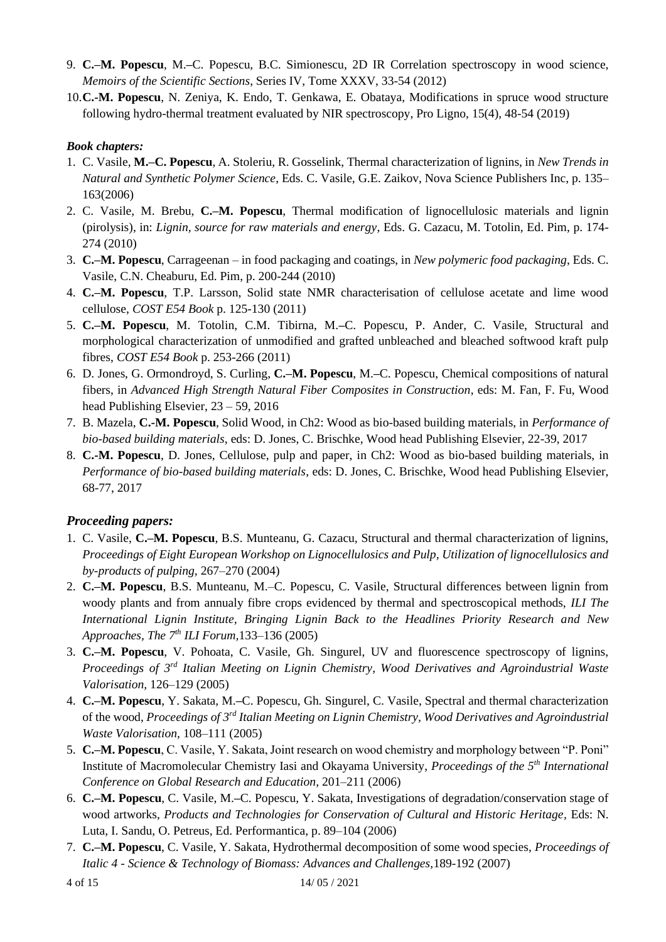- 9. **C.–M. Popescu**, M.**–**C. Popescu, B.C. Simionescu, 2D IR Correlation spectroscopy in wood science, *Memoirs of the Scientific Sections*, Series IV, Tome XXXV, 33-54 (2012)
- 10.**C.-M. Popescu**, N. Zeniya, K. Endo, T. Genkawa, E. Obataya, Modifications in spruce wood structure following hydro-thermal treatment evaluated by NIR spectroscopy, Pro Ligno, 15(4), 48-54 (2019)

#### *Book chapters:*

- 1. C. Vasile, **M.–C. Popescu**, A. Stoleriu, R. Gosselink, Thermal characterization of lignins, in *New Trends in Natural and Synthetic Polymer Science*, Eds. C. Vasile, G.E. Zaikov, Nova Science Publishers Inc, p. 135– 163(2006)
- 2. C. Vasile, M. Brebu, **C.–M. Popescu**, Thermal modification of lignocellulosic materials and lignin (pirolysis), in: *Lignin, source for raw materials and energy*, Eds. G. Cazacu, M. Totolin, Ed. Pim, p. 174- 274 (2010)
- 3. **C.–M. Popescu**, Carrageenan in food packaging and coatings, in *New polymeric food packaging*, Eds. C. Vasile, C.N. Cheaburu, Ed. Pim, p. 200-244 (2010)
- 4. **C.–M. Popescu**, T.P. Larsson, Solid state NMR characterisation of cellulose acetate and lime wood cellulose, *COST E54 Book* p. 125-130 (2011)
- 5. **C.–M. Popescu**, M. Totolin, C.M. Tibirna, M.**–**C. Popescu, P. Ander, C. Vasile, Structural and morphological characterization of unmodified and grafted unbleached and bleached softwood kraft pulp fibres, *COST E54 Book* p. 253-266 (2011)
- 6. D. Jones, G. Ormondroyd, S. Curling, **C.–M. Popescu**, M.**–**C. Popescu, Chemical compositions of natural fibers, in *Advanced High Strength Natural Fiber Composites in Construction*, eds: M. Fan, F. Fu, Wood head Publishing Elsevier, 23 – 59, 2016
- 7. B. Mazela, **C.-M. Popescu**, Solid Wood, in Ch2: Wood as bio-based building materials, in *Performance of bio-based building materials*, eds: D. Jones, C. Brischke, Wood head Publishing Elsevier, 22-39, 2017
- 8. **C.-M. Popescu**, D. Jones, Cellulose, pulp and paper, in Ch2: Wood as bio-based building materials, in *Performance of bio-based building materials*, eds: D. Jones, C. Brischke, Wood head Publishing Elsevier, 68-77, 2017

## *Proceeding papers:*

- 1. C. Vasile, **C.–M. Popescu**, B.S. Munteanu, G. Cazacu, Structural and thermal characterization of lignins, *Proceedings of Eight European Workshop on Lignocellulosics and Pulp, Utilization of lignocellulosics and by-products of pulping,* 267–270 (2004)
- 2. **C.–M. Popescu**, B.S. Munteanu, M.–C. Popescu, C. Vasile, Structural differences between lignin from woody plants and from annualy fibre crops evidenced by thermal and spectroscopical methods, *ILI The International Lignin Institute, Bringing Lignin Back to the Headlines Priority Research and New Approaches, The 7th ILI Forum,*133–136 (2005)
- 3. **C.–M. Popescu**, V. Pohoata, C. Vasile, Gh. Singurel, UV and fluorescence spectroscopy of lignins, *Proceedings of 3rd Italian Meeting on Lignin Chemistry, Wood Derivatives and Agroindustrial Waste Valorisation,* 126–129 (2005)
- 4. **C.–M. Popescu**, Y. Sakata, M.**–**C. Popescu, Gh. Singurel, C. Vasile, Spectral and thermal characterization of the wood, *Proceedings of 3rd Italian Meeting on Lignin Chemistry, Wood Derivatives and Agroindustrial Waste Valorisation,* 108–111 (2005)
- 5. **C.–M. Popescu**, C. Vasile, Y. Sakata, Joint research on wood chemistry and morphology between "P. Poni" Institute of Macromolecular Chemistry Iasi and Okayama University, *Proceedings of the 5th International Conference on Global Research and Education,* 201–211 (2006)
- 6. **C.–M. Popescu**, C. Vasile, M.**–**C. Popescu, Y. Sakata, Investigations of degradation/conservation stage of wood artworks, *Products and Technologies for Conservation of Cultural and Historic Heritage,* Eds: N. Luta, I. Sandu, O. Petreus, Ed. Performantica, p. 89–104 (2006)
- 7. **C.–M. Popescu**, C. Vasile, Y. Sakata, Hydrothermal decomposition of some wood species, *Proceedings of Italic 4 - Science & Technology of Biomass: Advances and Challenges,*189-192 (2007)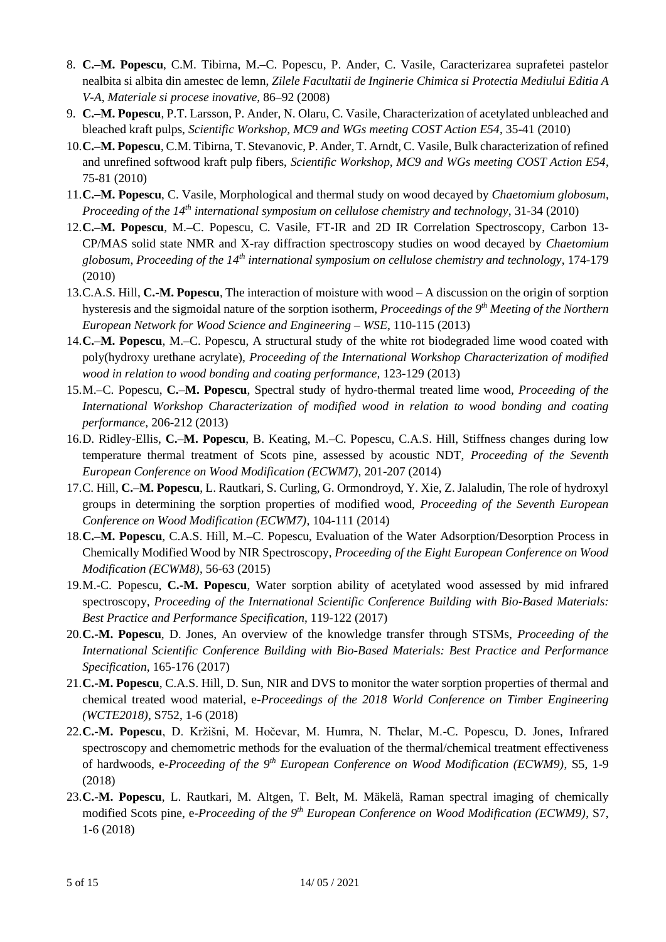- 8. **C.–M. Popescu**, C.M. Tibirna, M.**–**C. Popescu, P. Ander, C. Vasile, Caracterizarea suprafetei pastelor nealbita si albita din amestec de lemn, *Zilele Facultatii de Inginerie Chimica si Protectia Mediului Editia A V-A, Materiale si procese inovative,* 86–92 (2008)
- 9. **C.–M. Popescu**, P.T. Larsson, P. Ander, N. Olaru, C. Vasile, Characterization of acetylated unbleached and bleached kraft pulps, *Scientific Workshop, MC9 and WGs meeting COST Action E54*, 35-41 (2010)
- 10.**C.–M. Popescu**, C.M. Tibirna, T. Stevanovic, P. Ander, T. Arndt, C. Vasile, Bulk characterization of refined and unrefined softwood kraft pulp fibers, *Scientific Workshop, MC9 and WGs meeting COST Action E54*, 75-81 (2010)
- 11.**C.–M. Popescu**, C. Vasile, Morphological and thermal study on wood decayed by *Chaetomium globosum*, *Proceeding of the 14th international symposium on cellulose chemistry and technology*, 31-34 (2010)
- 12.**C.–M. Popescu**, M.**–**C. Popescu, C. Vasile, FT-IR and 2D IR Correlation Spectroscopy, Carbon 13- CP/MAS solid state NMR and X-ray diffraction spectroscopy studies on wood decayed by *Chaetomium globosum*, *Proceeding of the 14th international symposium on cellulose chemistry and technology*, 174-179 (2010)
- 13.C.A.S. Hill, **C.-M. Popescu**, The interaction of moisture with wood A discussion on the origin of sorption hysteresis and the sigmoidal nature of the sorption isotherm, *Proceedings of the 9 th Meeting of the Northern European Network for Wood Science and Engineering – WSE*, 110-115 (2013)
- 14.**C.–M. Popescu**, M.**–**C. Popescu, A structural study of the white rot biodegraded lime wood coated with poly(hydroxy urethane acrylate), *Proceeding of the International Workshop Characterization of modified wood in relation to wood bonding and coating performance,* 123-129 (2013)
- 15.M.**–**C. Popescu, **C.–M. Popescu**, Spectral study of hydro-thermal treated lime wood, *Proceeding of the International Workshop Characterization of modified wood in relation to wood bonding and coating performance,* 206-212 (2013)
- 16.D. Ridley-Ellis, **C.–M. Popescu**, B. Keating, M.**–**C. Popescu, C.A.S. Hill, Stiffness changes during low temperature thermal treatment of Scots pine, assessed by acoustic NDT, *Proceeding of the Seventh European Conference on Wood Modification (ECWM7)*, 201-207 (2014)
- 17.C. Hill, **C.–M. Popescu**, L. Rautkari, S. Curling, G. Ormondroyd, Y. Xie, Z. Jalaludin, The role of hydroxyl groups in determining the sorption properties of modified wood, *Proceeding of the Seventh European Conference on Wood Modification (ECWM7)*, 104-111 (2014)
- 18.**C.–M. Popescu**, C.A.S. Hill, M.**–**C. Popescu, Evaluation of the Water Adsorption/Desorption Process in Chemically Modified Wood by NIR Spectroscopy, *Proceeding of the Eight European Conference on Wood Modification (ECWM8)*, 56-63 (2015)
- 19.M.-C. Popescu, **C.-M. Popescu**, Water sorption ability of acetylated wood assessed by mid infrared spectroscopy, *Proceeding of the International Scientific Conference Building with Bio-Based Materials: Best Practice and Performance Specification*, 119-122 (2017)
- 20.**C.-M. Popescu**, D. Jones, An overview of the knowledge transfer through STSMs, *Proceeding of the International Scientific Conference Building with Bio-Based Materials: Best Practice and Performance Specification*, 165-176 (2017)
- 21.**C.-M. Popescu**, C.A.S. Hill, D. Sun, NIR and DVS to monitor the water sorption properties of thermal and chemical treated wood material, e-*Proceedings of the 2018 World Conference on Timber Engineering (WCTE2018)*, S752, 1-6 (2018)
- 22.**C.-M. Popescu**, D. Kržišni, M. Hočevar, M. Humra, N. Thelar, M.-C. Popescu, D. Jones, Infrared spectroscopy and chemometric methods for the evaluation of the thermal/chemical treatment effectiveness of hardwoods, e-*Proceeding of the 9th European Conference on Wood Modification (ECWM9)*, S5, 1-9 (2018)
- 23.**C.-M. Popescu**, L. Rautkari, M. Altgen, T. Belt, M. Mäkelä, Raman spectral imaging of chemically modified Scots pine, e-*Proceeding of the 9th European Conference on Wood Modification (ECWM9)*, S7, 1-6 (2018)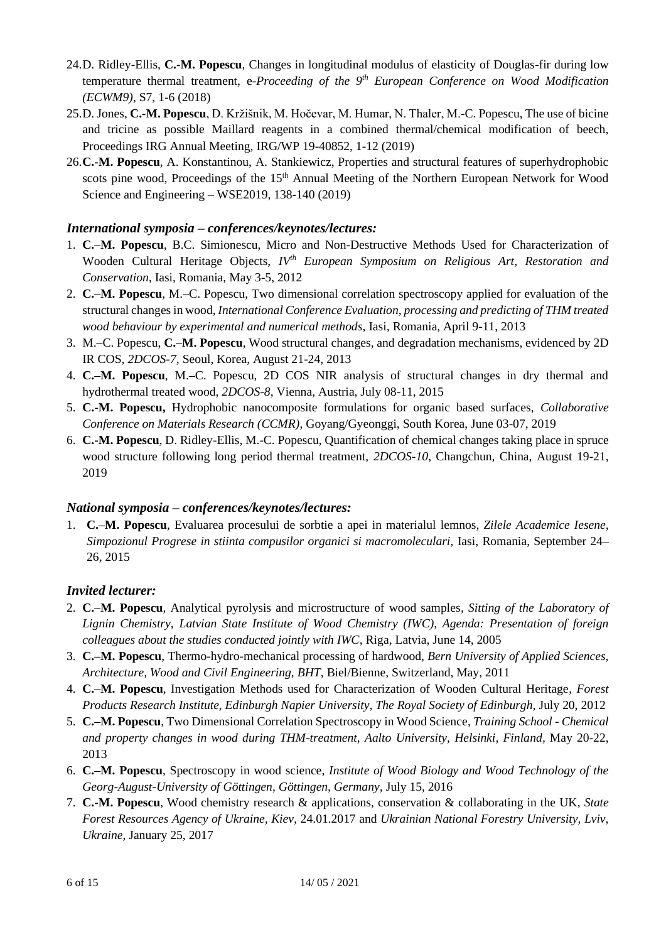- 24.D. Ridley-Ellis, **C.-M. Popescu**, Changes in longitudinal modulus of elasticity of Douglas-fir during low temperature thermal treatment, e-*Proceeding of the 9th European Conference on Wood Modification (ECWM9)*, S7, 1-6 (2018)
- 25.D. Jones, **C.-M. Popescu**, D. Kržišnik, M. Hočevar, M. Humar, N. Thaler, M.-C. Popescu, The use of bicine and tricine as possible Maillard reagents in a combined thermal/chemical modification of beech, Proceedings IRG Annual Meeting, IRG/WP 19-40852, 1-12 (2019)
- 26.**C.-M. Popescu**, A. Konstantinou, A. Stankiewicz, Properties and structural features of superhydrophobic scots pine wood, Proceedings of the  $15<sup>th</sup>$  Annual Meeting of the Northern European Network for Wood Science and Engineering – WSE2019, 138-140 (2019)

## *International symposia – conferences/keynotes/lectures:*

- 1. **C.–M. Popescu**, B.C. Simionescu, Micro and Non-Destructive Methods Used for Characterization of Wooden Cultural Heritage Objects, *IVth European Symposium on Religious Art, Restoration and Conservation*, Iasi, Romania, May 3-5, 2012
- 2. **C.–M. Popescu**, M.**–**C. Popescu, Two dimensional correlation spectroscopy applied for evaluation of the structural changes in wood, *International Conference Evaluation, processing and predicting of THM treated wood behaviour by experimental and numerical methods*, Iasi, Romania, April 9-11, 2013
- 3. M.**–**C. Popescu, **C.–M. Popescu**, Wood structural changes, and degradation mechanisms, evidenced by 2D IR COS, *2DCOS-7*, Seoul, Korea, August 21-24, 2013
- 4. **C.–M. Popescu**, M.**–**C. Popescu, 2D COS NIR analysis of structural changes in dry thermal and hydrothermal treated wood, *2DCOS-8*, Vienna, Austria, July 08-11, 2015
- 5. **C.-M. Popescu,** Hydrophobic nanocomposite formulations for organic based surfaces, *Collaborative Conference on Materials Research (CCMR)*, Goyang/Gyeonggi, South Korea, June 03-07, 2019
- 6. **C.-M. Popescu**, D. Ridley-Ellis, M.-C. Popescu, Quantification of chemical changes taking place in spruce wood structure following long period thermal treatment, *2DCOS-10,* Changchun, China, August 19-21, 2019

#### *National symposia – conferences/keynotes/lectures:*

1. **C.–M. Popescu**, Evaluarea procesului de sorbtie a apei in materialul lemnos, *Zilele Academice Iesene, Simpozionul Progrese in stiinta compusilor organici si macromoleculari,* Iasi, Romania, September 24– 26, 2015

## *Invited lecturer:*

- 2. **C.–M. Popescu**, Analytical pyrolysis and microstructure of wood samples*, Sitting of the Laboratory of Lignin Chemistry, Latvian State Institute of Wood Chemistry (IWC), Agenda: Presentation of foreign colleagues about the studies conducted jointly with IWC*, Riga, Latvia, June 14, 2005
- 3. **C.–M. Popescu**, Thermo-hydro-mechanical processing of hardwood, *Bern University of Applied Sciences, Architecture, Wood and Civil Engineering, BHT*, Biel/Bienne, Switzerland, May, 2011
- 4. **C.–M. Popescu**, Investigation Methods used for Characterization of Wooden Cultural Heritage, *Forest Products Research Institute, Edinburgh Napier University, The Royal Society of Edinburgh*, July 20, 2012
- 5. **C.–M. Popescu**, Two Dimensional Correlation Spectroscopy in Wood Science, *Training School - Chemical and property changes in wood during THM-treatment, Aalto University, Helsinki, Finland,* May 20-22, 2013
- 6. **C.–M. Popescu**, Spectroscopy in wood science, *Institute of Wood Biology and Wood Technology of the Georg-August-University of Göttingen, Göttingen, Germany,* July 15, 2016
- 7. **C.-M. Popescu**, Wood chemistry research & applications, conservation & collaborating in the UK, *State Forest Resources Agency of Ukraine, Kiev*, 24.01.2017 and *Ukrainian National Forestry University, Lviv, Ukraine*, January 25, 2017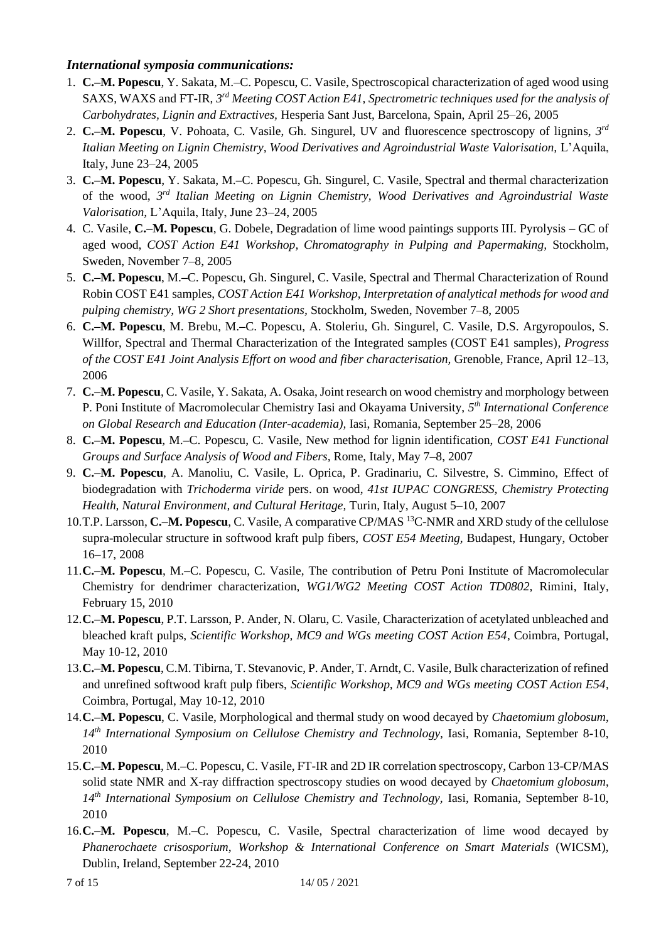## *International symposia communications:*

- 1. **C.–M. Popescu**, Y. Sakata, M.–C. Popescu, C. Vasile, Spectroscopical characterization of aged wood using SAXS, WAXS and FT-IR, 3<sup>rd</sup> Meeting COST Action E41, Spectrometric techniques used for the analysis of *Carbohydrates, Lignin and Extractives,* Hesperia Sant Just, Barcelona, Spain, April 25–26, 2005
- 2. C.-M. Popescu, V. Pohoata, C. Vasile, Gh. Singurel, UV and fluorescence spectroscopy of lignins, 3<sup>rd</sup> *Italian Meeting on Lignin Chemistry, Wood Derivatives and Agroindustrial Waste Valorisation,* L'Aquila, Italy, June 23–24, 2005
- 3. **C.–M. Popescu**, Y. Sakata, M.**–**C. Popescu, Gh. Singurel, C. Vasile, Spectral and thermal characterization of the wood, *3 rd Italian Meeting on Lignin Chemistry, Wood Derivatives and Agroindustrial Waste Valorisation,* L'Aquila, Italy, June 23–24, 2005
- 4. C. Vasile, **C.***–***M. Popescu**, G. Dobele, Degradation of lime wood paintings supports III. Pyrolysis GC of aged wood, *COST Action E41 Workshop, Chromatography in Pulping and Papermaking,* Stockholm, Sweden, November 7–8, 2005
- 5. **C.–M. Popescu**, M.**–**C. Popescu, Gh. Singurel, C. Vasile, Spectral and Thermal Characterization of Round Robin COST E41 samples, *COST Action E41 Workshop, Interpretation of analytical methods for wood and pulping chemistry, WG 2 Short presentations,* Stockholm, Sweden, November 7–8, 2005
- 6. **C.–M. Popescu**, M. Brebu, M.**–**C. Popescu, A. Stoleriu, Gh. Singurel, C. Vasile, D.S. Argyropoulos, S. Willfor, Spectral and Thermal Characterization of the Integrated samples (COST E41 samples)*, Progress of the COST E41 Joint Analysis Effort on wood and fiber characterisation,* Grenoble, France, April 12–13, 2006
- 7. **C.–M. Popescu**, C. Vasile, Y. Sakata, A. Osaka, Joint research on wood chemistry and morphology between P. Poni Institute of Macromolecular Chemistry Iasi and Okayama University, *5 th International Conference on Global Research and Education (Inter-academia),* Iasi, Romania, September 25–28, 2006
- 8. **C.–M. Popescu**, M.**–**C. Popescu, C. Vasile, New method for lignin identification, *COST E41 Functional Groups and Surface Analysis of Wood and Fibers,* Rome, Italy, May 7–8, 2007
- 9. **C.–M. Popescu**, A. Manoliu, C. Vasile, L. Oprica, P. Gradinariu, C. Silvestre, S. Cimmino, Effect of biodegradation with *Trichoderma viride* pers. on wood, *41st IUPAC CONGRESS, Chemistry Protecting Health, Natural Environment, and Cultural Heritage,* Turin, Italy, August 5–10, 2007
- 10.T.P. Larsson, **C.–M. Popescu**, C. Vasile, A comparative CP/MAS <sup>13</sup>C-NMR and XRD study of the cellulose supra-molecular structure in softwood kraft pulp fibers, *COST E54 Meeting,* Budapest, Hungary, October 16–17, 2008
- 11.**C.–M. Popescu**, M.**–**C. Popescu, C. Vasile, The contribution of Petru Poni Institute of Macromolecular Chemistry for dendrimer characterization, *WG1/WG2 Meeting COST Action TD0802,* Rimini, Italy, February 15, 2010
- 12.**C.–M. Popescu**, P.T. Larsson, P. Ander, N. Olaru, C. Vasile, Characterization of acetylated unbleached and bleached kraft pulps, *Scientific Workshop, MC9 and WGs meeting COST Action E54*, Coimbra, Portugal, May 10-12, 2010
- 13.**C.–M. Popescu**, C.M. Tibirna, T. Stevanovic, P. Ander, T. Arndt, C. Vasile, Bulk characterization of refined and unrefined softwood kraft pulp fibers, *Scientific Workshop, MC9 and WGs meeting COST Action E54*, Coimbra, Portugal, May 10-12, 2010
- 14.**C.–M. Popescu**, C. Vasile, Morphological and thermal study on wood decayed by *Chaetomium globosum*, *14th International Symposium on Cellulose Chemistry and Technology,* Iasi, Romania, September 8-10, 2010
- 15.**C.–M. Popescu**, M.**–**C. Popescu, C. Vasile, FT-IR and 2D IR correlation spectroscopy, Carbon 13-CP/MAS solid state NMR and X-ray diffraction spectroscopy studies on wood decayed by *Chaetomium globosum*, *14th International Symposium on Cellulose Chemistry and Technology,* Iasi, Romania, September 8-10, 2010
- 16.**C.–M. Popescu**, M.**–**C. Popescu, C. Vasile, Spectral characterization of lime wood decayed by *Phanerochaete crisosporium*, *Workshop & International Conference on Smart Materials* (WICSM), Dublin, Ireland, September 22-24, 2010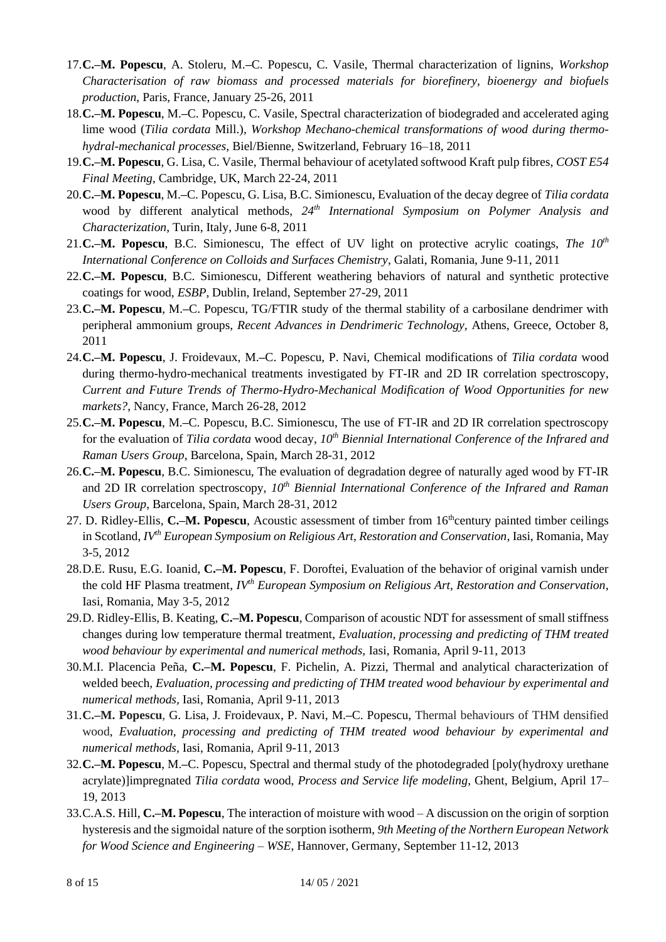- 17.**C.–M. Popescu**, A. Stoleru, M.**–**C. Popescu, C. Vasile, Thermal characterization of lignins, *Workshop Characterisation of raw biomass and processed materials for biorefinery, bioenergy and biofuels production*, Paris, France, January 25-26, 2011
- 18.**C.–M. Popescu**, M.**–**C. Popescu, C. Vasile, Spectral characterization of biodegraded and accelerated aging lime wood (*Tilia cordata* Mill.), *Workshop Mechano-chemical transformations of wood during thermohydral-mechanical processes*, Biel/Bienne, Switzerland, February 16–18, 2011
- 19.**C.–M. Popescu**, G. Lisa, C. Vasile, Thermal behaviour of acetylated softwood Kraft pulp fibres, *COST E54 Final Meeting*, Cambridge, UK, March 22-24, 2011
- 20.**C.–M. Popescu**, M.**–**C. Popescu, G. Lisa, B.C. Simionescu, Evaluation of the decay degree of *Tilia cordata* wood by different analytical methods, *24th International Symposium on Polymer Analysis and Characterization*, Turin, Italy, June 6-8, 2011
- 21.**C.–M. Popescu**, B.C. Simionescu, The effect of UV light on protective acrylic coatings, *The 10th International Conference on Colloids and Surfaces Chemistry*, Galati, Romania, June 9-11, 2011
- 22.**C.–M. Popescu**, B.C. Simionescu, Different weathering behaviors of natural and synthetic protective coatings for wood, *ESBP*, Dublin, Ireland, September 27-29, 2011
- 23.**C.–M. Popescu**, M.**–**C. Popescu, TG/FTIR study of the thermal stability of a carbosilane dendrimer with peripheral ammonium groups, *Recent Advances in Dendrimeric Technology,* Athens, Greece, October 8, 2011
- 24.**C.–M. Popescu**, J. Froidevaux, M.**–**C. Popescu, P. Navi, Chemical modifications of *Tilia cordata* wood during thermo-hydro-mechanical treatments investigated by FT-IR and 2D IR correlation spectroscopy, *Current and Future Trends of Thermo-Hydro-Mechanical Modification of Wood Opportunities for new markets?*, Nancy, France, March 26-28, 2012
- 25.**C.–M. Popescu**, M.**–**C. Popescu, B.C. Simionescu, The use of FT-IR and 2D IR correlation spectroscopy for the evaluation of *Tilia cordata* wood decay, *10th Biennial International Conference of the Infrared and Raman Users Group*, Barcelona, Spain, March 28-31, 2012
- 26.**C.–M. Popescu**, B.C. Simionescu, The evaluation of degradation degree of naturally aged wood by FT-IR and 2D IR correlation spectroscopy, *10th Biennial International Conference of the Infrared and Raman Users Group*, Barcelona, Spain, March 28-31, 2012
- 27. D. Ridley-Ellis, **C.–M. Popescu**, Acoustic assessment of timber from 16<sup>th</sup>century painted timber ceilings in Scotland, *IVth European Symposium on Religious Art, Restoration and Conservation*, Iasi, Romania, May 3-5, 2012
- 28.D.E. Rusu, E.G. Ioanid, **C.–M. Popescu**, F. Doroftei, Evaluation of the behavior of original varnish under the cold HF Plasma treatment, *IVth European Symposium on Religious Art, Restoration and Conservation*, Iasi, Romania, May 3-5, 2012
- 29.D. Ridley-Ellis, B. Keating, **C.–M. Popescu**, Comparison of acoustic NDT for assessment of small stiffness changes during low temperature thermal treatment, *Evaluation, processing and predicting of THM treated wood behaviour by experimental and numerical methods,* Iasi, Romania, April 9-11, 2013
- 30.M.I. Placencia Peña, **C.–M. Popescu**, F. Pichelin, A. Pizzi, Thermal and analytical characterization of welded beech, *Evaluation, processing and predicting of THM treated wood behaviour by experimental and numerical methods,* Iasi, Romania, April 9-11, 2013
- 31.**C.–M. Popescu**, G. Lisa, J. Froidevaux, P. Navi, M.**–**C. Popescu, Thermal behaviours of THM densified wood, *Evaluation, processing and predicting of THM treated wood behaviour by experimental and numerical methods,* Iasi, Romania, April 9-11, 2013
- 32.**C.–M. Popescu**, M.**–**C. Popescu, Spectral and thermal study of the photodegraded [poly(hydroxy urethane acrylate)]impregnated *Tilia cordata* wood, *Process and Service life modeling*, Ghent, Belgium, April 17– 19, 2013
- 33.C.A.S. Hill, **C.–M. Popescu**, The interaction of moisture with wood A discussion on the origin of sorption hysteresis and the sigmoidal nature of the sorption isotherm, *9th Meeting of the Northern European Network for Wood Science and Engineering – WSE*, Hannover, Germany, September 11-12, 2013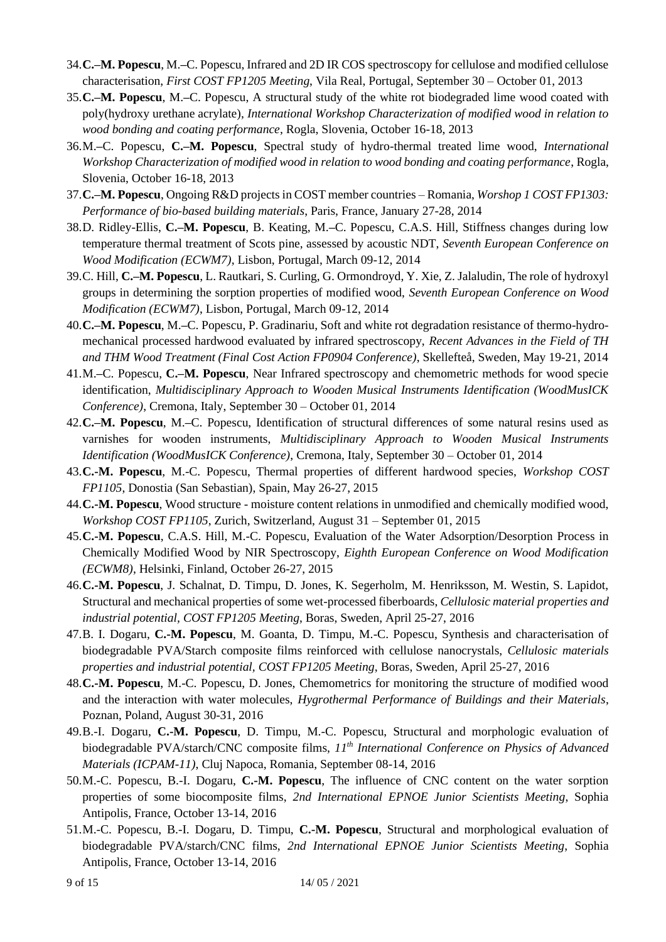- 34.**C.–M. Popescu**, M.**–**C. Popescu, Infrared and 2D IR COS spectroscopy for cellulose and modified cellulose characterisation, *First COST FP1205 Meeting*, Vila Real, Portugal, September 30 – October 01, 2013
- 35.**C.–M. Popescu**, M.**–**C. Popescu, A structural study of the white rot biodegraded lime wood coated with poly(hydroxy urethane acrylate), *International Workshop Characterization of modified wood in relation to wood bonding and coating performance*, Rogla, Slovenia, October 16-18, 2013
- 36.M.**–**C. Popescu, **C.–M. Popescu**, Spectral study of hydro-thermal treated lime wood, *International Workshop Characterization of modified wood in relation to wood bonding and coating performance*, Rogla, Slovenia, October 16-18, 2013
- 37.**C.–M. Popescu**, Ongoing R&D projects in COST member countries Romania, *Worshop 1 COST FP1303: Performance of bio-based building materials*, Paris, France, January 27-28, 2014
- 38.D. Ridley-Ellis, **C.–M. Popescu**, B. Keating, M.**–**C. Popescu, C.A.S. Hill, Stiffness changes during low temperature thermal treatment of Scots pine, assessed by acoustic NDT, *Seventh European Conference on Wood Modification (ECWM7)*, Lisbon, Portugal, March 09-12, 2014
- 39.C. Hill, **C.–M. Popescu**, L. Rautkari, S. Curling, G. Ormondroyd, Y. Xie, Z. Jalaludin, The role of hydroxyl groups in determining the sorption properties of modified wood, *Seventh European Conference on Wood Modification (ECWM7)*, Lisbon, Portugal, March 09-12, 2014
- 40.**C.–M. Popescu**, M.**–**C. Popescu, P. Gradinariu, Soft and white rot degradation resistance of thermo-hydromechanical processed hardwood evaluated by infrared spectroscopy, *Recent Advances in the Field of TH and THM Wood Treatment (Final Cost Action FP0904 Conference)*, Skellefteå, Sweden, May 19-21, 2014
- 41.M.**–**C. Popescu, **C.–M. Popescu**, Near Infrared spectroscopy and chemometric methods for wood specie identification, *Multidisciplinary Approach to Wooden Musical Instruments Identification (WoodMusICK Conference)*, Cremona, Italy, September 30 – October 01, 2014
- 42.**C.–M. Popescu**, M.**–**C. Popescu, Identification of structural differences of some natural resins used as varnishes for wooden instruments, *Multidisciplinary Approach to Wooden Musical Instruments Identification (WoodMusICK Conference)*, Cremona, Italy, September 30 – October 01, 2014
- 43.**C.-M. Popescu**, M.-C. Popescu, Thermal properties of different hardwood species, *Workshop COST FP1105*, Donostia (San Sebastian), Spain, May 26-27, 2015
- 44.**C.-M. Popescu**, Wood structure moisture content relations in unmodified and chemically modified wood, *Workshop COST FP1105*, Zurich, Switzerland, August 31 – September 01, 2015
- 45.**C.-M. Popescu**, C.A.S. Hill, M.-C. Popescu, Evaluation of the Water Adsorption/Desorption Process in Chemically Modified Wood by NIR Spectroscopy, *Eighth European Conference on Wood Modification (ECWM8)*, Helsinki, Finland, October 26-27, 2015
- 46.**C.-M. Popescu**, J. Schalnat, D. Timpu, D. Jones, K. Segerholm, M. Henriksson, M. Westin, S. Lapidot, Structural and mechanical properties of some wet-processed fiberboards, *Cellulosic material properties and industrial potential, COST FP1205 Meeting*, Boras, Sweden, April 25-27, 2016
- 47.B. I. Dogaru, **C.-M. Popescu**, M. Goanta, D. Timpu, M.-C. Popescu, Synthesis and characterisation of biodegradable PVA/Starch composite films reinforced with cellulose nanocrystals, *Cellulosic materials properties and industrial potential, COST FP1205 Meeting*, Boras, Sweden, April 25-27, 2016
- 48.**C.-M. Popescu**, M.-C. Popescu, D. Jones, Chemometrics for monitoring the structure of modified wood and the interaction with water molecules, *Hygrothermal Performance of Buildings and their Materials*, Poznan, Poland, August 30-31, 2016
- 49.B.-I. Dogaru, **C.-M. Popescu**, D. Timpu, M.-C. Popescu, Structural and morphologic evaluation of biodegradable PVA/starch/CNC composite films, *11th International Conference on Physics of Advanced Materials (ICPAM-11)*, Cluj Napoca, Romania, September 08-14, 2016
- 50.M.-C. Popescu, B.-I. Dogaru, **C.-M. Popescu**, The influence of CNC content on the water sorption properties of some biocomposite films, *2nd International EPNOE Junior Scientists Meeting*, Sophia Antipolis, France, October 13-14, 2016
- 51.M.-C. Popescu, B.-I. Dogaru, D. Timpu, **C.-M. Popescu**, Structural and morphological evaluation of biodegradable PVA/starch/CNC films, *2nd International EPNOE Junior Scientists Meeting*, Sophia Antipolis, France, October 13-14, 2016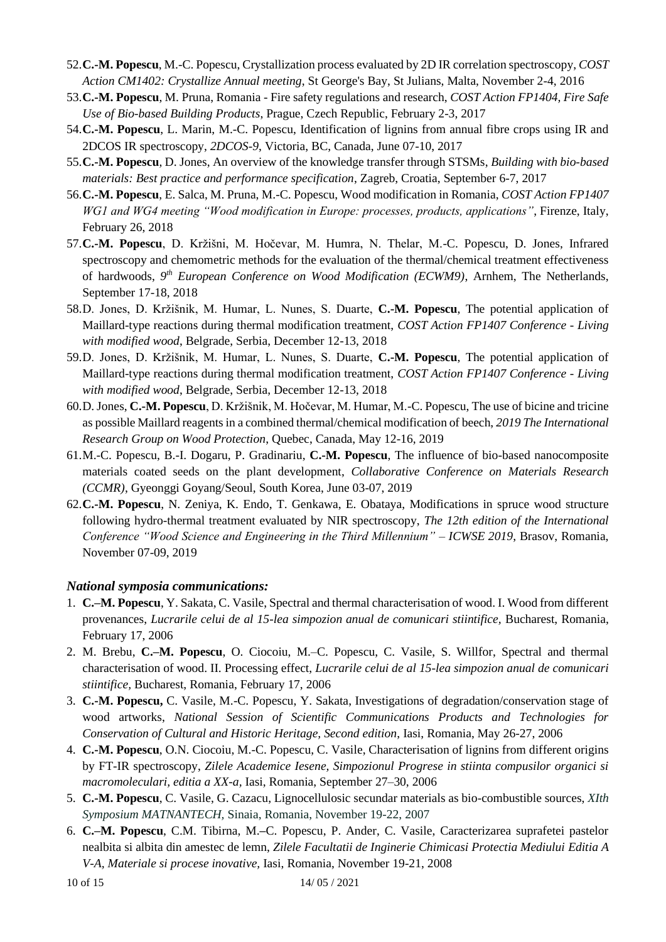- 52.**C.-M. Popescu**, M.-C. Popescu, Crystallization process evaluated by 2D IR correlation spectroscopy, *COST Action CM1402: Crystallize Annual meeting*, St George's Bay, St Julians, Malta, November 2-4, 2016
- 53.**C.-M. Popescu**, M. Pruna, Romania Fire safety regulations and research, *COST Action FP1404, Fire Safe Use of Bio-based Building Products*, Prague, Czech Republic, February 2-3, 2017
- 54.**C.-M. Popescu**, L. Marin, M.-C. Popescu, Identification of lignins from annual fibre crops using IR and 2DCOS IR spectroscopy, *2DCOS-9*, Victoria, BC, Canada, June 07-10, 2017
- 55.**C.-M. Popescu**, D. Jones, An overview of the knowledge transfer through STSMs, *Building with bio-based materials: Best practice and performance specification*, Zagreb, Croatia, September 6-7, 2017
- 56.**C.-M. Popescu**, E. Salca, M. Pruna, M.-C. Popescu, Wood modification in Romania, *COST Action FP1407 WG1 and WG4 meeting "Wood modification in Europe: processes, products, applications"*, Firenze, Italy, February 26, 2018
- 57.**C.-M. Popescu**, D. Kržišni, M. Hočevar, M. Humra, N. Thelar, M.-C. Popescu, D. Jones, Infrared spectroscopy and chemometric methods for the evaluation of the thermal/chemical treatment effectiveness of hardwoods, 9<sup>th</sup> *European Conference on Wood Modification (ECWM9)*, Arnhem, The Netherlands, September 17-18, 2018
- 58.D. Jones, D. Kržišnik, M. Humar, L. Nunes, S. Duarte, **C.-M. Popescu**, The potential application of Maillard-type reactions during thermal modification treatment, *COST Action FP1407 Conference - Living with modified wood*, Belgrade, Serbia, December 12-13, 2018
- 59.D. Jones, D. Kržišnik, M. Humar, L. Nunes, S. Duarte, **C.-M. Popescu**, The potential application of Maillard-type reactions during thermal modification treatment, *COST Action FP1407 Conference - Living with modified wood*, Belgrade, Serbia, December 12-13, 2018
- 60.D. Jones, **C.-M. Popescu**, D. Kržišnik, M. Hočevar, M. Humar, M.-C. Popescu, The use of bicine and tricine as possible Maillard reagents in a combined thermal/chemical modification of beech, *2019 The International Research Group on Wood Protection*, Quebec, Canada, May 12-16, 2019
- 61.M.-C. Popescu, B.-I. Dogaru, P. Gradinariu, **C.-M. Popescu**, The influence of bio-based nanocomposite materials coated seeds on the plant development, *Collaborative Conference on Materials Research (CCMR)*, Gyeonggi Goyang/Seoul, South Korea, June 03-07, 2019
- 62.**C.-M. Popescu**, N. Zeniya, K. Endo, T. Genkawa, E. Obataya, Modifications in spruce wood structure following hydro-thermal treatment evaluated by NIR spectroscopy, *The 12th edition of the International Conference "Wood Science and Engineering in the Third Millennium" – ICWSE 2019*, Brasov, Romania, November 07-09, 2019

## *National symposia communications:*

- 1. **C.–M. Popescu**, Y. Sakata, C. Vasile, Spectral and thermal characterisation of wood. I. Wood from different provenances, *Lucrarile celui de al 15-lea simpozion anual de comunicari stiintifice,* Bucharest, Romania, February 17, 2006
- 2. M. Brebu, **C.–M. Popescu**, O. Ciocoiu, M.–C. Popescu, C. Vasile, S. Willfor, Spectral and thermal characterisation of wood. II. Processing effect, *Lucrarile celui de al 15-lea simpozion anual de comunicari stiintifice,* Bucharest, Romania, February 17, 2006
- 3. **C.-M. Popescu,** C. Vasile, M.-C. Popescu, Y. Sakata, Investigations of degradation/conservation stage of wood artworks, *National Session of Scientific Communications Products and Technologies for Conservation of Cultural and Historic Heritage, Second edition*, Iasi, Romania, May 26-27, 2006
- 4. **C.-M. Popescu**, O.N. Ciocoiu, M.-C. Popescu, C. Vasile, Characterisation of lignins from different origins by FT-IR spectroscopy, *Zilele Academice Iesene, Simpozionul Progrese in stiinta compusilor organici si macromoleculari, editia a XX-a,* Iasi, Romania, September 27–30, 2006
- 5. **C.-M. Popescu**, C. Vasile, G. Cazacu, Lignocellulosic secundar materials as bio-combustible sources, *XIth Symposium MATNANTECH,* Sinaia, Romania, November 19-22, 2007
- 6. **C.–M. Popescu**, C.M. Tibirna, M.**–**C. Popescu, P. Ander, C. Vasile, Caracterizarea suprafetei pastelor nealbita si albita din amestec de lemn, *Zilele Facultatii de Inginerie Chimicasi Protectia Mediului Editia A V-A, Materiale si procese inovative,* Iasi, Romania, November 19-21, 2008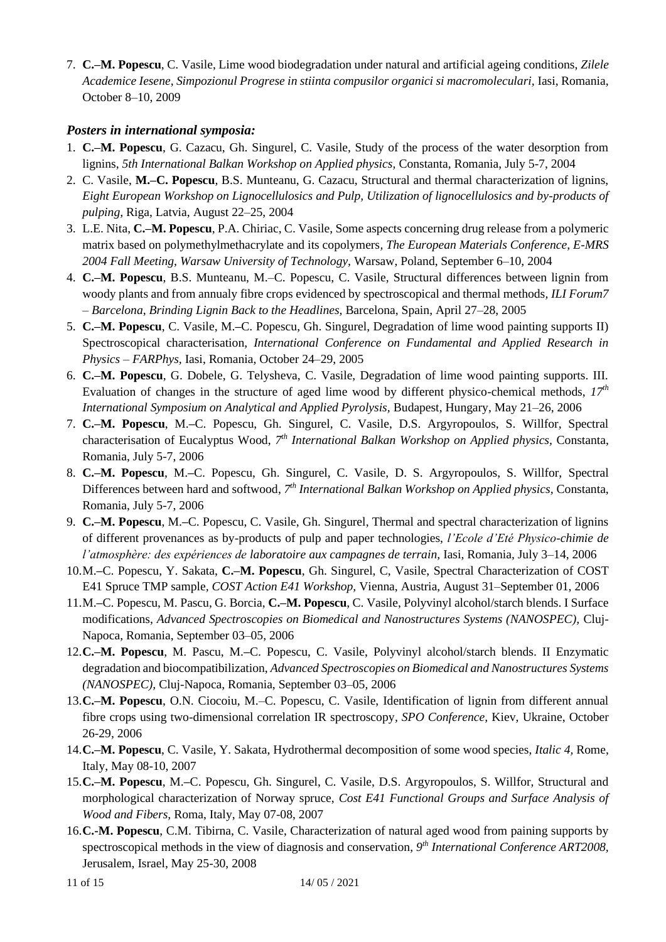7. **C.–M. Popescu**, C. Vasile, Lime wood biodegradation under natural and artificial ageing conditions, *Zilele Academice Iesene, Simpozionul Progrese in stiinta compusilor organici si macromoleculari,* Iasi, Romania, October 8–10, 2009

## *Posters in international symposia:*

- 1. **C.–M. Popescu**, G. Cazacu, Gh. Singurel, C. Vasile, Study of the process of the water desorption from lignins, *5th International Balkan Workshop on Applied physics,* Constanta, Romania, July 5-7, 2004
- 2. C. Vasile, **M.–C. Popescu**, B.S. Munteanu, G. Cazacu, Structural and thermal characterization of lignins, *Eight European Workshop on Lignocellulosics and Pulp, Utilization of lignocellulosics and by-products of pulping,* Riga, Latvia, August 22–25, 2004
- 3. L.E. Nita, **C.–M. Popescu**, P.A. Chiriac, C. Vasile, Some aspects concerning drug release from a polymeric matrix based on polymethylmethacrylate and its copolymers*, The European Materials Conference, E-MRS 2004 Fall Meeting, Warsaw University of Technology,* Warsaw, Poland, September 6–10, 2004
- 4. **C.–M. Popescu**, B.S. Munteanu, M.–C. Popescu, C. Vasile, Structural differences between lignin from woody plants and from annualy fibre crops evidenced by spectroscopical and thermal methods*, ILI Forum7 – Barcelona, Brinding Lignin Back to the Headlines,* Barcelona, Spain, April 27–28, 2005
- 5. **C.–M. Popescu**, C. Vasile, M.**–**C. Popescu, Gh. Singurel, Degradation of lime wood painting supports II) Spectroscopical characterisation, *International Conference on Fundamental and Applied Research in Physics – FARPhys,* Iasi, Romania, October 24–29, 2005
- 6. **C.–M. Popescu**, G. Dobele, G. Telysheva, C. Vasile, Degradation of lime wood painting supports. III. Evaluation of changes in the structure of aged lime wood by different physico-chemical methods, *17th International Symposium on Analytical and Applied Pyrolysis,* Budapest, Hungary, May 21–26, 2006
- 7. **C.–M. Popescu**, M.**–**C. Popescu, Gh. Singurel, C. Vasile, D.S. Argyropoulos, S. Willfor, Spectral characterisation of Eucalyptus Wood, *7 th International Balkan Workshop on Applied physics,* Constanta, Romania, July 5-7, 2006
- 8. **C.–M. Popescu**, M.**–**C. Popescu, Gh. Singurel, C. Vasile, D. S. Argyropoulos, S. Willfor, Spectral Differences between hard and softwood, *7 th International Balkan Workshop on Applied physics,* Constanta, Romania, July 5-7, 2006
- 9. **C.–M. Popescu**, M.**–**C. Popescu, C. Vasile, Gh. Singurel, Thermal and spectral characterization of lignins of different provenances as by-products of pulp and paper technologies, *l'Ecole d'Eté Physico-chimie de l'atmosphère: des expériences de laboratoire aux campagnes de terrain,* Iasi, Romania, July 3–14, 2006
- 10.M.**–**C. Popescu, Y. Sakata, **C.–M. Popescu**, Gh. Singurel, C, Vasile, Spectral Characterization of COST E41 Spruce TMP sample*, COST Action E41 Workshop,* Vienna, Austria, August 31–September 01, 2006
- 11.M.**–**C. Popescu, M. Pascu, G. Borcia, **C.–M. Popescu**, C. Vasile, Polyvinyl alcohol/starch blends. I Surface modifications, *Advanced Spectroscopies on Biomedical and Nanostructures Systems (NANOSPEC),* Cluj-Napoca, Romania, September 03–05, 2006
- 12.**C.–M. Popescu**, M. Pascu, M.**–**C. Popescu, C. Vasile, Polyvinyl alcohol/starch blends. II Enzymatic degradation and biocompatibilization, *Advanced Spectroscopies on Biomedical and Nanostructures Systems (NANOSPEC),* Cluj-Napoca, Romania, September 03–05, 2006
- 13.**C.–M. Popescu**, O.N. Ciocoiu, M.–C. Popescu, C. Vasile, Identification of lignin from different annual fibre crops using two-dimensional correlation IR spectroscopy*, SPO Conference,* Kiev, Ukraine, October 26-29, 2006
- 14.**C.–M. Popescu**, C. Vasile, Y. Sakata, Hydrothermal decomposition of some wood species, *Italic 4,* Rome, Italy, May 08-10, 2007
- 15.**C.–M. Popescu**, M.**–**C. Popescu, Gh. Singurel, C. Vasile, D.S. Argyropoulos, S. Willfor, Structural and morphological characterization of Norway spruce, *Cost E41 Functional Groups and Surface Analysis of Wood and Fibers,* Roma, Italy, May 07-08, 2007
- 16.**C.-M. Popescu**, C.M. Tibirna, C. Vasile, Characterization of natural aged wood from paining supports by spectroscopical methods in the view of diagnosis and conservation, 9<sup>th</sup> International Conference ART2008, Jerusalem, Israel, May 25-30, 2008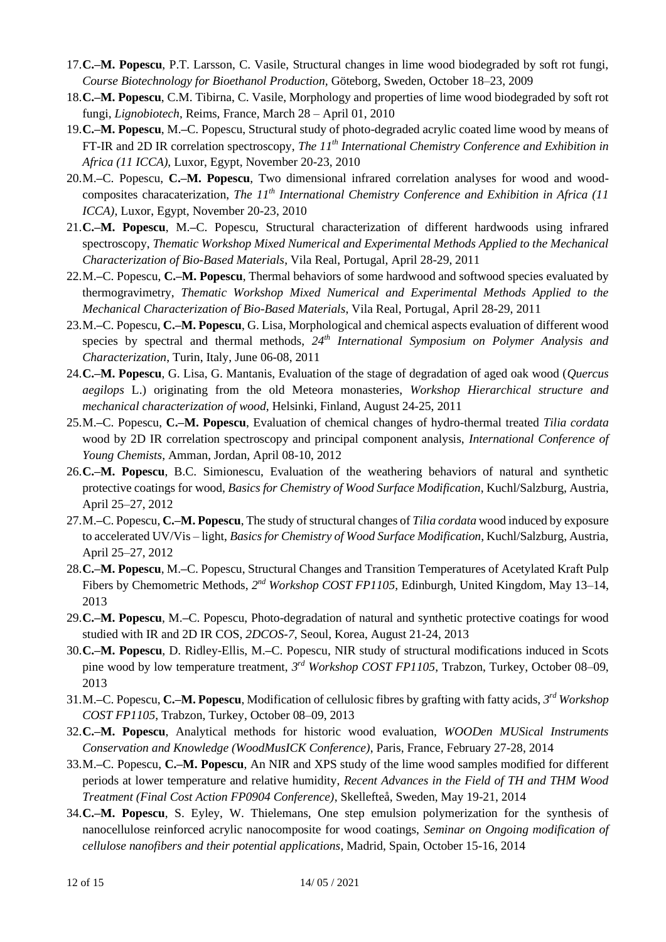- 17.**C.–M. Popescu**, P.T. Larsson, C. Vasile, Structural changes in lime wood biodegraded by soft rot fungi, *Course Biotechnology for Bioethanol Production,* Göteborg, Sweden, October 18–23, 2009
- 18.**C.–M. Popescu**, C.M. Tibirna, C. Vasile, Morphology and properties of lime wood biodegraded by soft rot fungi, *Lignobiotech*, Reims, France, March 28 – April 01, 2010
- 19.**C.–M. Popescu**, M.**–**C. Popescu, Structural study of photo-degraded acrylic coated lime wood by means of FT-IR and 2D IR correlation spectroscopy, *The 11th International Chemistry Conference and Exhibition in Africa (11 ICCA)*, Luxor, Egypt, November 20-23, 2010
- 20.M.**–**C. Popescu, **C.–M. Popescu**, Two dimensional infrared correlation analyses for wood and woodcomposites characaterization, *The 11th International Chemistry Conference and Exhibition in Africa (11 ICCA)*, Luxor, Egypt, November 20-23, 2010
- 21.**C.–M. Popescu**, M.**–**C. Popescu, Structural characterization of different hardwoods using infrared spectroscopy, *Thematic Workshop Mixed Numerical and Experimental Methods Applied to the Mechanical Characterization of Bio-Based Materials*, Vila Real, Portugal, April 28-29, 2011
- 22.M.**–**C. Popescu, **C.–M. Popescu**, Thermal behaviors of some hardwood and softwood species evaluated by thermogravimetry, *Thematic Workshop Mixed Numerical and Experimental Methods Applied to the Mechanical Characterization of Bio-Based Materials*, Vila Real, Portugal, April 28-29, 2011
- 23.M.**–**C. Popescu, **C.–M. Popescu**, G. Lisa, Morphological and chemical aspects evaluation of different wood species by spectral and thermal methods, *24th International Symposium on Polymer Analysis and Characterization*, Turin, Italy, June 06-08, 2011
- 24.**C.–M. Popescu**, G. Lisa, G. Mantanis, Evaluation of the stage of degradation of aged oak wood (*Quercus aegilops* L.) originating from the old Meteora monasteries, *Workshop Hierarchical structure and mechanical characterization of wood*, Helsinki, Finland, August 24-25, 2011
- 25.M.**–**C. Popescu, **C.–M. Popescu**, Evaluation of chemical changes of hydro-thermal treated *Tilia cordata* wood by 2D IR correlation spectroscopy and principal component analysis, *International Conference of Young Chemists*, Amman, Jordan, April 08-10, 2012
- 26.**C.–M. Popescu**, B.C. Simionescu, Evaluation of the weathering behaviors of natural and synthetic protective coatings for wood, *Basics for Chemistry of Wood Surface Modification*, Kuchl/Salzburg, Austria, April 25–27, 2012
- 27.M.**–**C. Popescu, **C.–M. Popescu**, The study of structural changes of *Tilia cordata* wood induced by exposure to accelerated UV/Vis – light, *Basics for Chemistry of Wood Surface Modification*, Kuchl/Salzburg, Austria, April 25–27, 2012
- 28.**C.–M. Popescu**, M.**–**C. Popescu, Structural Changes and Transition Temperatures of Acetylated Kraft Pulp Fibers by Chemometric Methods, 2<sup>nd</sup> Workshop COST FP1105, Edinburgh, United Kingdom, May 13–14, 2013
- 29.**C.–M. Popescu**, M.**–**C. Popescu, Photo-degradation of natural and synthetic protective coatings for wood studied with IR and 2D IR COS, *2DCOS-7*, Seoul, Korea, August 21-24, 2013
- 30.**C.–M. Popescu**, D. Ridley-Ellis, M.**–**C. Popescu, NIR study of structural modifications induced in Scots pine wood by low temperature treatment, *3 rd Workshop COST FP1105*, Trabzon, Turkey, October 08–09, 2013
- 31.M.**–**C. Popescu, **C.–M. Popescu**, Modification of cellulosic fibres by grafting with fatty acids, *3 rd Workshop COST FP1105*, Trabzon, Turkey, October 08–09, 2013
- 32.**C.–M. Popescu**, Analytical methods for historic wood evaluation, *WOODen MUSical Instruments Conservation and Knowledge (WoodMusICK Conference)*, Paris, France, February 27-28, 2014
- 33.M.**–**C. Popescu, **C.–M. Popescu**, An NIR and XPS study of the lime wood samples modified for different periods at lower temperature and relative humidity, *Recent Advances in the Field of TH and THM Wood Treatment (Final Cost Action FP0904 Conference)*, Skellefteå, Sweden, May 19-21, 2014
- 34.**C.–M. Popescu**, S. Eyley, W. Thielemans, One step emulsion polymerization for the synthesis of nanocellulose reinforced acrylic nanocomposite for wood coatings, *Seminar on Ongoing modification of cellulose nanofibers and their potential applications*, Madrid, Spain, October 15-16, 2014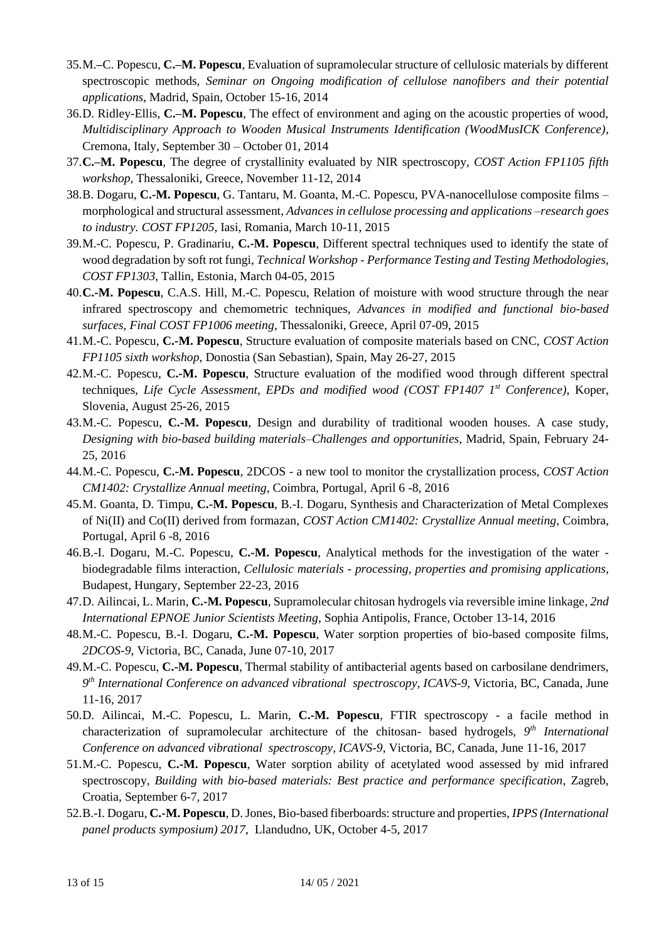- 35.M.**–**C. Popescu, **C.–M. Popescu**, Evaluation of supramolecular structure of cellulosic materials by different spectroscopic methods, *Seminar on Ongoing modification of cellulose nanofibers and their potential applications*, Madrid, Spain, October 15-16, 2014
- 36.D. Ridley-Ellis, **C.–M. Popescu**, The effect of environment and aging on the acoustic properties of wood, *Multidisciplinary Approach to Wooden Musical Instruments Identification (WoodMusICK Conference)*, Cremona, Italy, September 30 – October 01, 2014
- 37.**C.–M. Popescu**, The degree of crystallinity evaluated by NIR spectroscopy, *COST Action FP1105 fifth workshop*, Thessaloniki, Greece, November 11-12, 2014
- 38.B. Dogaru, **C.-M. Popescu**, G. Tantaru, M. Goanta, M.-C. Popescu, PVA-nanocellulose composite films morphological and structural assessment, *Advances in cellulose processing and applications –research goes to industry. COST FP1205*, Iasi, Romania, March 10-11, 2015
- 39.M.-C. Popescu, P. Gradinariu, **C.-M. Popescu**, Different spectral techniques used to identify the state of wood degradation by soft rot fungi, *Technical Workshop - Performance Testing and Testing Methodologies, COST FP1303*, Tallin, Estonia, March 04-05, 2015
- 40.**C.-M. Popescu**, C.A.S. Hill, M.-C. Popescu, Relation of moisture with wood structure through the near infrared spectroscopy and chemometric techniques, *Advances in modified and functional bio-based surfaces, Final COST FP1006 meeting*, Thessaloniki, Greece, April 07-09, 2015
- 41.M.-C. Popescu, **C.-M. Popescu**, Structure evaluation of composite materials based on CNC, *COST Action FP1105 sixth workshop*, Donostia (San Sebastian), Spain, May 26-27, 2015
- 42.M.-C. Popescu, **C.-M. Popescu**, Structure evaluation of the modified wood through different spectral techniques, Life Cycle Assessment, EPDs and modified wood (COST FP1407 1<sup>st</sup> Conference), Koper, Slovenia, August 25-26, 2015
- 43.M.-C. Popescu, **C.-M. Popescu**, Design and durability of traditional wooden houses. A case study, *Designing with bio-based building materials–Challenges and opportunities*, Madrid, Spain, February 24- 25, 2016
- 44.M.-C. Popescu, **C.-M. Popescu**, 2DCOS a new tool to monitor the crystallization process, *COST Action CM1402: Crystallize Annual meeting*, Coimbra, Portugal, April 6 -8, 2016
- 45.M. Goanta, D. Timpu, **C.-M. Popescu**, B.-I. Dogaru, Synthesis and Characterization of Metal Complexes of Ni(II) and Co(II) derived from formazan, *COST Action CM1402: Crystallize Annual meeting*, Coimbra, Portugal, April 6 -8, 2016
- 46.B.-I. Dogaru, M.-C. Popescu, **C.-M. Popescu**, Analytical methods for the investigation of the water biodegradable films interaction, *Cellulosic materials - processing, properties and promising applications*, Budapest, Hungary, September 22-23, 2016
- 47.D. Ailincai, L. Marin, **C.-M. Popescu**, Supramolecular chitosan hydrogels via reversible imine linkage, *2nd International EPNOE Junior Scientists Meeting*, Sophia Antipolis, France, October 13-14, 2016
- 48.M.-C. Popescu, B.-I. Dogaru, **C.-M. Popescu**, Water sorption properties of bio-based composite films, *2DCOS-9*, Victoria, BC, Canada, June 07-10, 2017
- 49.M.-C. Popescu, **C.-M. Popescu**, Thermal stability of antibacterial agents based on carbosilane dendrimers, *9 th International Conference on advanced vibrational spectroscopy, ICAVS-9*, Victoria, BC, Canada, June 11-16, 2017
- 50.D. Ailincai, M.-C. Popescu, L. Marin, **C.-M. Popescu**, FTIR spectroscopy a facile method in characterization of supramolecular architecture of the chitosan- based hydrogels, *9 th International Conference on advanced vibrational spectroscopy, ICAVS-9*, Victoria, BC, Canada, June 11-16, 2017
- 51.M.-C. Popescu, **C.-M. Popescu**, Water sorption ability of acetylated wood assessed by mid infrared spectroscopy, *Building with bio-based materials: Best practice and performance specification*, Zagreb, Croatia, September 6-7, 2017
- 52.B.-I. Dogaru, **C.-M. Popescu**, D. Jones, Bio-based fiberboards: structure and properties, *IPPS (International panel products symposium) 2017*, Llandudno, UK, October 4-5, 2017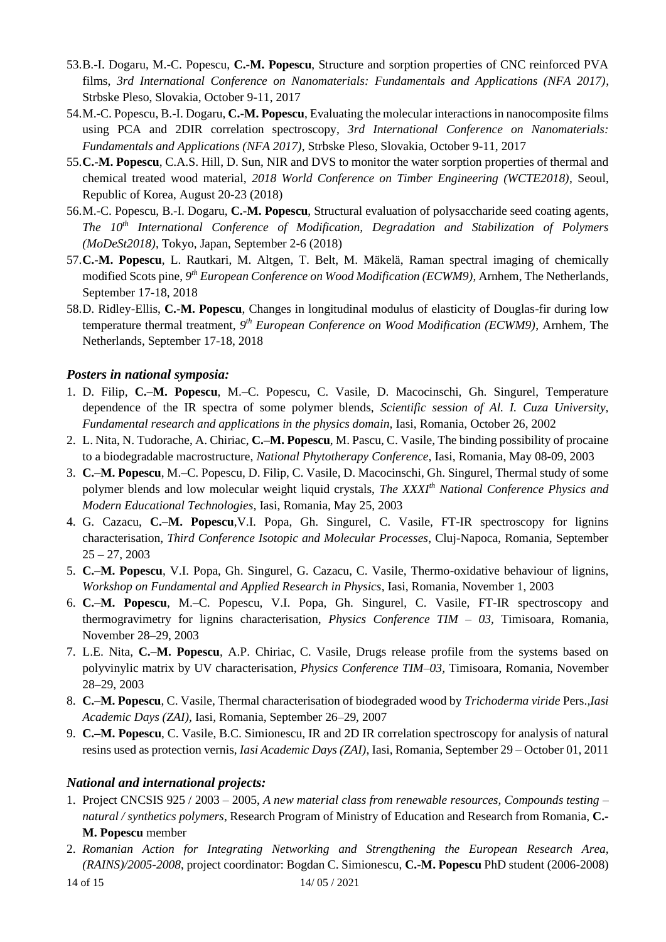- 53.B.-I. Dogaru, M.-C. Popescu, **C.-M. Popescu**, Structure and sorption properties of CNC reinforced PVA films, *3rd International Conference on Nanomaterials: Fundamentals and Applications (NFA 2017)*, Strbske Pleso, Slovakia, October 9-11, 2017
- 54.M.-C. Popescu, B.-I. Dogaru, **C.-M. Popescu**, Evaluating the molecular interactions in nanocomposite films using PCA and 2DIR correlation spectroscopy, *3rd International Conference on Nanomaterials: Fundamentals and Applications (NFA 2017)*, Strbske Pleso, Slovakia, October 9-11, 2017
- 55.**C.-M. Popescu**, C.A.S. Hill, D. Sun, NIR and DVS to monitor the water sorption properties of thermal and chemical treated wood material, *2018 World Conference on Timber Engineering (WCTE2018)*, Seoul, Republic of Korea, August 20-23 (2018)
- 56.M.-C. Popescu, B.-I. Dogaru, **C.-M. Popescu**, Structural evaluation of polysaccharide seed coating agents, *The 10th International Conference of Modification, Degradation and Stabilization of Polymers (MoDeSt2018)*, Tokyo, Japan, September 2-6 (2018)
- 57.**C.-M. Popescu**, L. Rautkari, M. Altgen, T. Belt, M. Mäkelä, Raman spectral imaging of chemically modified Scots pine, 9<sup>th</sup> *European Conference on Wood Modification (ECWM9)*, Arnhem, The Netherlands, September 17-18, 2018
- 58.D. Ridley-Ellis, **C.-M. Popescu**, Changes in longitudinal modulus of elasticity of Douglas-fir during low temperature thermal treatment, 9<sup>th</sup> *European Conference on Wood Modification (ECWM9)*, Arnhem, The Netherlands, September 17-18, 2018

## *Posters in national symposia:*

- 1. D. Filip, **C.–M. Popescu**, M.**–**C. Popescu, C. Vasile, D. Macocinschi, Gh. Singurel, Temperature dependence of the IR spectra of some polymer blends, *Scientific session of Al. I. Cuza University, Fundamental research and applications in the physics domain,* Iasi, Romania, October 26, 2002
- 2. L. Nita, N. Tudorache, A. Chiriac, **C.–M. Popescu**, M. Pascu, C. Vasile, The binding possibility of procaine to a biodegradable macrostructure, *National Phytotherapy Conference,* Iasi, Romania, May 08-09, 2003
- 3. **C.–M. Popescu**, M.**–**C. Popescu, D. Filip, C. Vasile, D. Macocinschi, Gh. Singurel, Thermal study of some polymer blends and low molecular weight liquid crystals, *The XXXIth National Conference Physics and Modern Educational Technologies,* Iasi, Romania, May 25, 2003
- 4. G. Cazacu, **C.–M. Popescu**,V.I. Popa, Gh. Singurel, C. Vasile, FT-IR spectroscopy for lignins characterisation, *Third Conference Isotopic and Molecular Processes*, Cluj-Napoca, Romania, September  $25 - 27, 2003$
- 5. **C.–M. Popescu**, V.I. Popa, Gh. Singurel, G. Cazacu, C. Vasile, Thermo-oxidative behaviour of lignins, *Workshop on Fundamental and Applied Research in Physics*, Iasi, Romania, November 1, 2003
- 6. **C.–M. Popescu**, M.**–**C. Popescu, V.I. Popa, Gh. Singurel, C. Vasile, FT-IR spectroscopy and thermogravimetry for lignins characterisation, *Physics Conference TIM – 03,* Timisoara, Romania, November 28–29, 2003
- 7. L.E. Nita, **C.–M. Popescu**, A.P. Chiriac, C. Vasile, Drugs release profile from the systems based on polyvinylic matrix by UV characterisation, *Physics Conference TIM–03,* Timisoara, Romania, November 28–29, 2003
- 8. **C.–M. Popescu**, C. Vasile, Thermal characterisation of biodegraded wood by *Trichoderma viride* Pers.*,Iasi Academic Days (ZAI),* Iasi, Romania, September 26–29, 2007
- 9. **C.–M. Popescu**, C. Vasile, B.C. Simionescu, IR and 2D IR correlation spectroscopy for analysis of natural resins used as protection vernis, *Iasi Academic Days (ZAI)*, Iasi, Romania, September 29 – October 01, 2011

## *National and international projects:*

- 1. Project CNCSIS 925 / 2003 2005, *A new material class from renewable resources, Compounds testing – natural / synthetics polymers*, Research Program of Ministry of Education and Research from Romania, **C.- M. Popescu** member
- 2. *Romanian Action for Integrating Networking and Strengthening the European Research Area, (RAINS)/2005-2008*, project coordinator: Bogdan C. Simionescu, **C.-M. Popescu** PhD student (2006-2008)